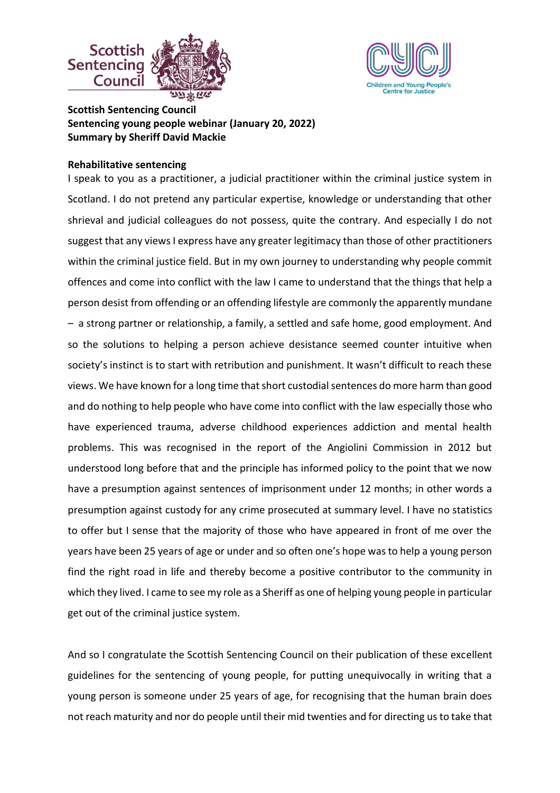



**Scottish Sentencing Council Sentencing young people webinar (January 20, 2022) Summary by Sheriff David Mackie**

## **Rehabilitative sentencing**

I speak to you as a practitioner, a judicial practitioner within the criminal justice system in Scotland. I do not pretend any particular expertise, knowledge or understanding that other shrieval and judicial colleagues do not possess, quite the contrary. And especially I do not suggest that any views I express have any greater legitimacy than those of other practitioners within the criminal justice field. But in my own journey to understanding why people commit offences and come into conflict with the law I came to understand that the things that help a person desist from offending or an offending lifestyle are commonly the apparently mundane – a strong partner or relationship, a family, a settled and safe home, good employment. And so the solutions to helping a person achieve desistance seemed counter intuitive when society's instinct is to start with retribution and punishment. It wasn't difficult to reach these views. We have known for a long time that short custodial sentences do more harm than good and do nothing to help people who have come into conflict with the law especially those who have experienced trauma, adverse childhood experiences addiction and mental health problems. This was recognised in the report of the Angiolini Commission in 2012 but understood long before that and the principle has informed policy to the point that we now have a presumption against sentences of imprisonment under 12 months; in other words a presumption against custody for any crime prosecuted at summary level. I have no statistics to offer but I sense that the majority of those who have appeared in front of me over the years have been 25 years of age or under and so often one's hope was to help a young person find the right road in life and thereby become a positive contributor to the community in which they lived. I came to see my role as a Sheriff as one of helping young people in particular get out of the criminal justice system.

And so I congratulate the Scottish Sentencing Council on their publication of these excellent guidelines for the sentencing of young people, for putting unequivocally in writing that a young person is someone under 25 years of age, for recognising that the human brain does not reach maturity and nor do people until their mid twenties and for directing us to take that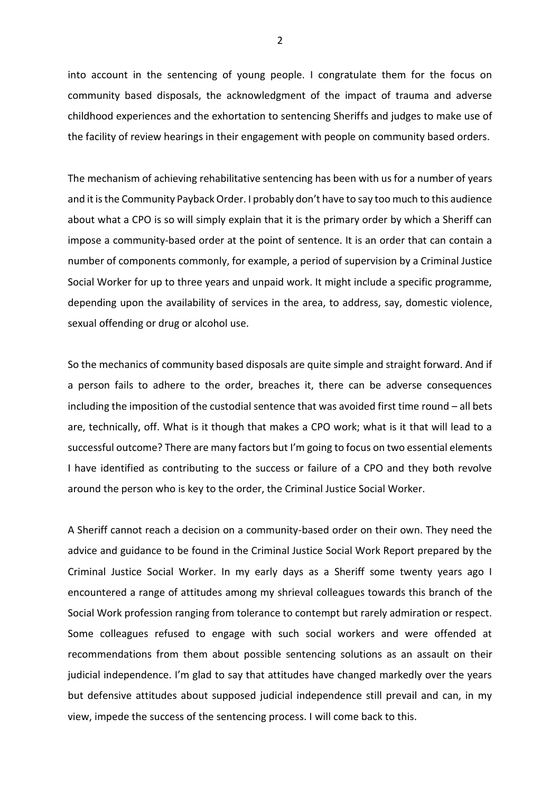into account in the sentencing of young people. I congratulate them for the focus on community based disposals, the acknowledgment of the impact of trauma and adverse childhood experiences and the exhortation to sentencing Sheriffs and judges to make use of the facility of review hearings in their engagement with people on community based orders.

The mechanism of achieving rehabilitative sentencing has been with us for a number of years and it is the Community Payback Order. I probably don't have to say too much to this audience about what a CPO is so will simply explain that it is the primary order by which a Sheriff can impose a community-based order at the point of sentence. It is an order that can contain a number of components commonly, for example, a period of supervision by a Criminal Justice Social Worker for up to three years and unpaid work. It might include a specific programme, depending upon the availability of services in the area, to address, say, domestic violence, sexual offending or drug or alcohol use.

So the mechanics of community based disposals are quite simple and straight forward. And if a person fails to adhere to the order, breaches it, there can be adverse consequences including the imposition of the custodial sentence that was avoided first time round – all bets are, technically, off. What is it though that makes a CPO work; what is it that will lead to a successful outcome? There are many factors but I'm going to focus on two essential elements I have identified as contributing to the success or failure of a CPO and they both revolve around the person who is key to the order, the Criminal Justice Social Worker.

A Sheriff cannot reach a decision on a community-based order on their own. They need the advice and guidance to be found in the Criminal Justice Social Work Report prepared by the Criminal Justice Social Worker. In my early days as a Sheriff some twenty years ago I encountered a range of attitudes among my shrieval colleagues towards this branch of the Social Work profession ranging from tolerance to contempt but rarely admiration or respect. Some colleagues refused to engage with such social workers and were offended at recommendations from them about possible sentencing solutions as an assault on their judicial independence. I'm glad to say that attitudes have changed markedly over the years but defensive attitudes about supposed judicial independence still prevail and can, in my view, impede the success of the sentencing process. I will come back to this.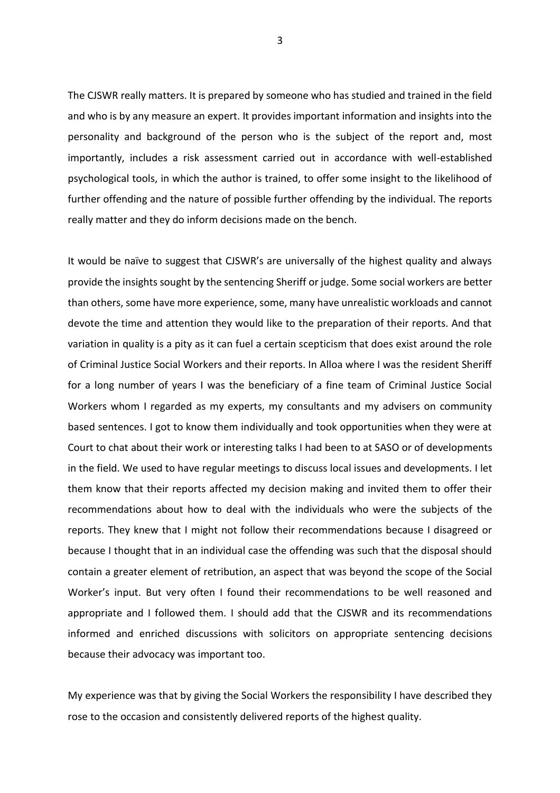The CJSWR really matters. It is prepared by someone who has studied and trained in the field and who is by any measure an expert. It provides important information and insights into the personality and background of the person who is the subject of the report and, most importantly, includes a risk assessment carried out in accordance with well-established psychological tools, in which the author is trained, to offer some insight to the likelihood of further offending and the nature of possible further offending by the individual. The reports really matter and they do inform decisions made on the bench.

It would be naïve to suggest that CJSWR's are universally of the highest quality and always provide the insights sought by the sentencing Sheriff or judge. Some social workers are better than others, some have more experience, some, many have unrealistic workloads and cannot devote the time and attention they would like to the preparation of their reports. And that variation in quality is a pity as it can fuel a certain scepticism that does exist around the role of Criminal Justice Social Workers and their reports. In Alloa where I was the resident Sheriff for a long number of years I was the beneficiary of a fine team of Criminal Justice Social Workers whom I regarded as my experts, my consultants and my advisers on community based sentences. I got to know them individually and took opportunities when they were at Court to chat about their work or interesting talks I had been to at SASO or of developments in the field. We used to have regular meetings to discuss local issues and developments. I let them know that their reports affected my decision making and invited them to offer their recommendations about how to deal with the individuals who were the subjects of the reports. They knew that I might not follow their recommendations because I disagreed or because I thought that in an individual case the offending was such that the disposal should contain a greater element of retribution, an aspect that was beyond the scope of the Social Worker's input. But very often I found their recommendations to be well reasoned and appropriate and I followed them. I should add that the CJSWR and its recommendations informed and enriched discussions with solicitors on appropriate sentencing decisions because their advocacy was important too.

My experience was that by giving the Social Workers the responsibility I have described they rose to the occasion and consistently delivered reports of the highest quality.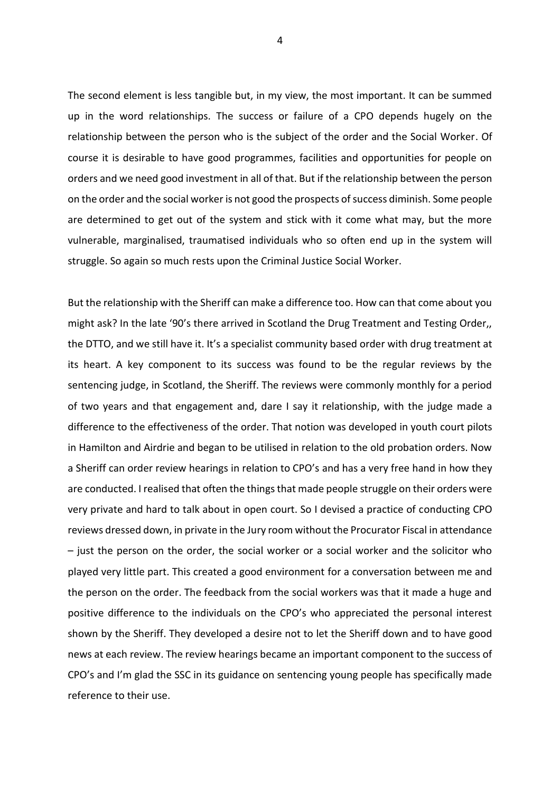The second element is less tangible but, in my view, the most important. It can be summed up in the word relationships. The success or failure of a CPO depends hugely on the relationship between the person who is the subject of the order and the Social Worker. Of course it is desirable to have good programmes, facilities and opportunities for people on orders and we need good investment in all of that. But if the relationship between the person on the order and the social worker is not good the prospects of success diminish. Some people are determined to get out of the system and stick with it come what may, but the more vulnerable, marginalised, traumatised individuals who so often end up in the system will struggle. So again so much rests upon the Criminal Justice Social Worker.

But the relationship with the Sheriff can make a difference too. How can that come about you might ask? In the late '90's there arrived in Scotland the Drug Treatment and Testing Order,, the DTTO, and we still have it. It's a specialist community based order with drug treatment at its heart. A key component to its success was found to be the regular reviews by the sentencing judge, in Scotland, the Sheriff. The reviews were commonly monthly for a period of two years and that engagement and, dare I say it relationship, with the judge made a difference to the effectiveness of the order. That notion was developed in youth court pilots in Hamilton and Airdrie and began to be utilised in relation to the old probation orders. Now a Sheriff can order review hearings in relation to CPO's and has a very free hand in how they are conducted. I realised that often the things that made people struggle on their orders were very private and hard to talk about in open court. So I devised a practice of conducting CPO reviews dressed down, in private in the Jury room without the Procurator Fiscal in attendance – just the person on the order, the social worker or a social worker and the solicitor who played very little part. This created a good environment for a conversation between me and the person on the order. The feedback from the social workers was that it made a huge and positive difference to the individuals on the CPO's who appreciated the personal interest shown by the Sheriff. They developed a desire not to let the Sheriff down and to have good news at each review. The review hearings became an important component to the success of CPO's and I'm glad the SSC in its guidance on sentencing young people has specifically made reference to their use.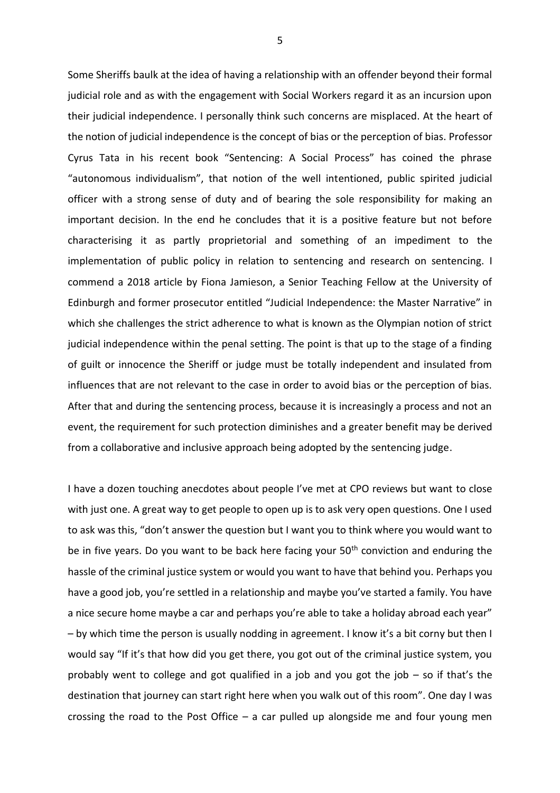Some Sheriffs baulk at the idea of having a relationship with an offender beyond their formal judicial role and as with the engagement with Social Workers regard it as an incursion upon their judicial independence. I personally think such concerns are misplaced. At the heart of the notion of judicial independence is the concept of bias or the perception of bias. Professor Cyrus Tata in his recent book "Sentencing: A Social Process" has coined the phrase "autonomous individualism", that notion of the well intentioned, public spirited judicial officer with a strong sense of duty and of bearing the sole responsibility for making an important decision. In the end he concludes that it is a positive feature but not before characterising it as partly proprietorial and something of an impediment to the implementation of public policy in relation to sentencing and research on sentencing. I commend a 2018 article by Fiona Jamieson, a Senior Teaching Fellow at the University of Edinburgh and former prosecutor entitled "Judicial Independence: the Master Narrative" in which she challenges the strict adherence to what is known as the Olympian notion of strict judicial independence within the penal setting. The point is that up to the stage of a finding of guilt or innocence the Sheriff or judge must be totally independent and insulated from influences that are not relevant to the case in order to avoid bias or the perception of bias. After that and during the sentencing process, because it is increasingly a process and not an event, the requirement for such protection diminishes and a greater benefit may be derived from a collaborative and inclusive approach being adopted by the sentencing judge.

I have a dozen touching anecdotes about people I've met at CPO reviews but want to close with just one. A great way to get people to open up is to ask very open questions. One I used to ask was this, "don't answer the question but I want you to think where you would want to be in five years. Do you want to be back here facing your 50<sup>th</sup> conviction and enduring the hassle of the criminal justice system or would you want to have that behind you. Perhaps you have a good job, you're settled in a relationship and maybe you've started a family. You have a nice secure home maybe a car and perhaps you're able to take a holiday abroad each year" – by which time the person is usually nodding in agreement. I know it's a bit corny but then I would say "If it's that how did you get there, you got out of the criminal justice system, you probably went to college and got qualified in a job and you got the job – so if that's the destination that journey can start right here when you walk out of this room". One day I was crossing the road to the Post Office  $-$  a car pulled up alongside me and four young men